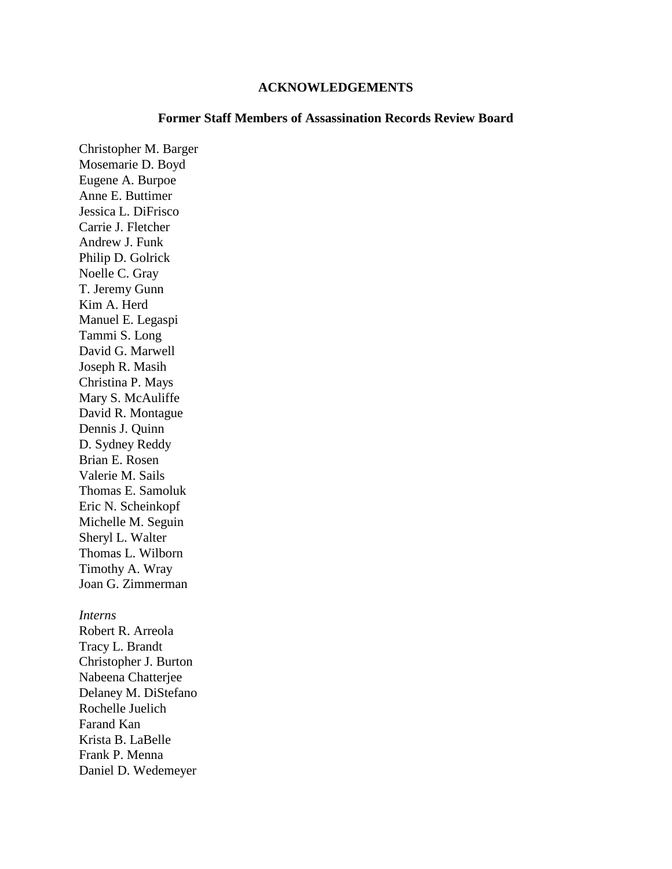#### **ACKNOWLEDGEMENTS**

### **Former Staff Members of Assassination Records Review Board**

Christopher M. Barger Mosemarie D. Boyd Eugene A. Burpoe Anne E. Buttimer Jessica L. DiFrisco Carrie J. Fletcher Andrew J. Funk Philip D. Golrick Noelle C. Gray T. Jeremy Gunn Kim A. Herd Manuel E. Legaspi Tammi S. Long David G. Marwell Joseph R. Masih Christina P. Mays Mary S. McAuliffe David R. Montague Dennis J. Quinn D. Sydney Reddy Brian E. Rosen Valerie M. Sails Thomas E. Samoluk Eric N. Scheinkopf Michelle M. Seguin Sheryl L. Walter Thomas L. Wilborn Timothy A. Wray Joan G. Zimmerman

#### *Interns*

Robert R. Arreola Tracy L. Brandt Christopher J. Burton Nabeena Chatterjee Delaney M. DiStefano Rochelle Juelich Farand Kan Krista B. LaBelle Frank P. Menna Daniel D. Wedemeyer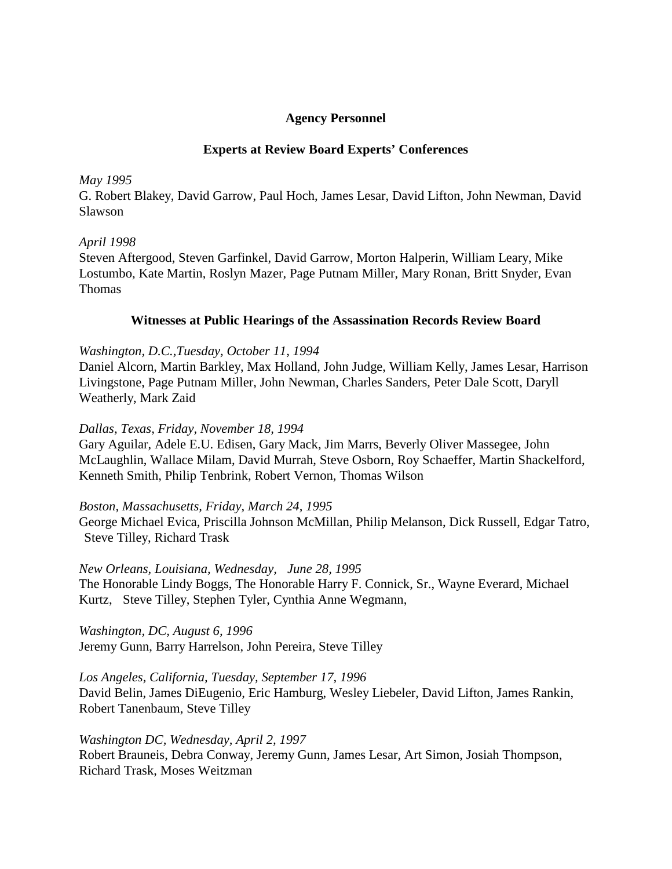# **Agency Personnel**

# **Experts at Review Board Experts' Conferences**

### *May 1995*

G. Robert Blakey, David Garrow, Paul Hoch, James Lesar, David Lifton, John Newman, David Slawson

# *April 1998*

Steven Aftergood, Steven Garfinkel, David Garrow, Morton Halperin, William Leary, Mike Lostumbo, Kate Martin, Roslyn Mazer, Page Putnam Miller, Mary Ronan, Britt Snyder, Evan Thomas

# **Witnesses at Public Hearings of the Assassination Records Review Board**

### *Washington, D.C.,Tuesday, October 11, 1994*

Daniel Alcorn, Martin Barkley, Max Holland, John Judge, William Kelly, James Lesar, Harrison Livingstone, Page Putnam Miller, John Newman, Charles Sanders, Peter Dale Scott, Daryll Weatherly, Mark Zaid

### *Dallas, Texas, Friday, November 18, 1994*

Gary Aguilar, Adele E.U. Edisen, Gary Mack, Jim Marrs, Beverly Oliver Massegee, John McLaughlin, Wallace Milam, David Murrah, Steve Osborn, Roy Schaeffer, Martin Shackelford, Kenneth Smith, Philip Tenbrink, Robert Vernon, Thomas Wilson

# *Boston, Massachusetts, Friday, March 24, 1995*

George Michael Evica, Priscilla Johnson McMillan, Philip Melanson, Dick Russell, Edgar Tatro, Steve Tilley, Richard Trask

# *New Orleans, Louisiana, Wednesday, June 28, 1995*

The Honorable Lindy Boggs, The Honorable Harry F. Connick, Sr., Wayne Everard, Michael Kurtz, Steve Tilley, Stephen Tyler, Cynthia Anne Wegmann,

*Washington, DC, August 6, 1996* Jeremy Gunn, Barry Harrelson, John Pereira, Steve Tilley

# *Los Angeles, California, Tuesday, September 17, 1996*

David Belin, James DiEugenio, Eric Hamburg, Wesley Liebeler, David Lifton, James Rankin, Robert Tanenbaum, Steve Tilley

### *Washington DC, Wednesday, April 2, 1997*

Robert Brauneis, Debra Conway, Jeremy Gunn, James Lesar, Art Simon, Josiah Thompson, Richard Trask, Moses Weitzman